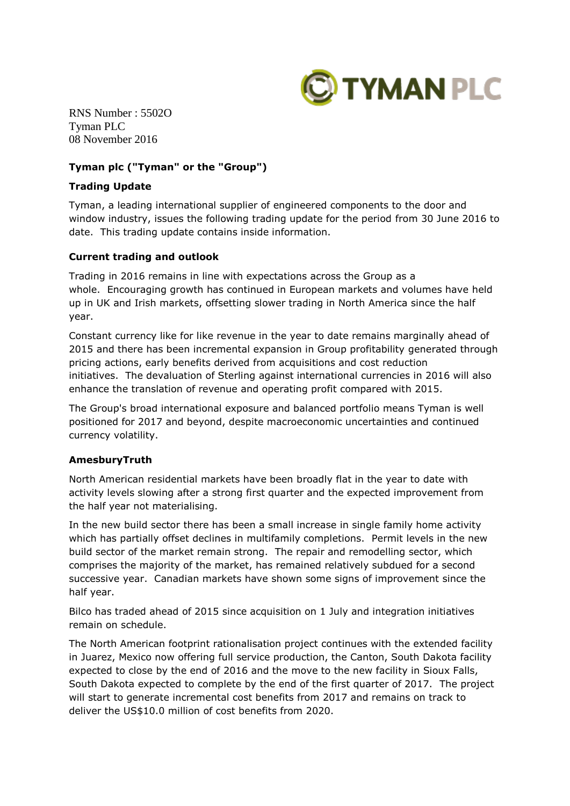

RNS Number : 5502O Tyman PLC 08 November 2016

# **Tyman plc ("Tyman" or the "Group")**

### **Trading Update**

Tyman, a leading international supplier of engineered components to the door and window industry, issues the following trading update for the period from 30 June 2016 to date. This trading update contains inside information.

### **Current trading and outlook**

Trading in 2016 remains in line with expectations across the Group as a whole. Encouraging growth has continued in European markets and volumes have held up in UK and Irish markets, offsetting slower trading in North America since the half year.

Constant currency like for like revenue in the year to date remains marginally ahead of 2015 and there has been incremental expansion in Group profitability generated through pricing actions, early benefits derived from acquisitions and cost reduction initiatives. The devaluation of Sterling against international currencies in 2016 will also enhance the translation of revenue and operating profit compared with 2015.

The Group's broad international exposure and balanced portfolio means Tyman is well positioned for 2017 and beyond, despite macroeconomic uncertainties and continued currency volatility.

# **AmesburyTruth**

North American residential markets have been broadly flat in the year to date with activity levels slowing after a strong first quarter and the expected improvement from the half year not materialising.

In the new build sector there has been a small increase in single family home activity which has partially offset declines in multifamily completions. Permit levels in the new build sector of the market remain strong. The repair and remodelling sector, which comprises the majority of the market, has remained relatively subdued for a second successive year. Canadian markets have shown some signs of improvement since the half year.

Bilco has traded ahead of 2015 since acquisition on 1 July and integration initiatives remain on schedule.

The North American footprint rationalisation project continues with the extended facility in Juarez, Mexico now offering full service production, the Canton, South Dakota facility expected to close by the end of 2016 and the move to the new facility in Sioux Falls, South Dakota expected to complete by the end of the first quarter of 2017. The project will start to generate incremental cost benefits from 2017 and remains on track to deliver the US\$10.0 million of cost benefits from 2020.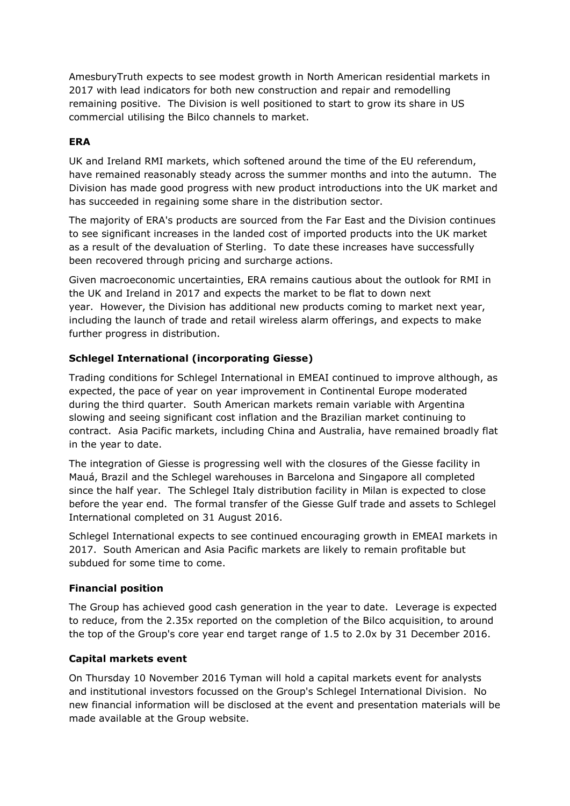AmesburyTruth expects to see modest growth in North American residential markets in 2017 with lead indicators for both new construction and repair and remodelling remaining positive. The Division is well positioned to start to grow its share in US commercial utilising the Bilco channels to market.

# **ERA**

UK and Ireland RMI markets, which softened around the time of the EU referendum, have remained reasonably steady across the summer months and into the autumn. The Division has made good progress with new product introductions into the UK market and has succeeded in regaining some share in the distribution sector.

The majority of ERA's products are sourced from the Far East and the Division continues to see significant increases in the landed cost of imported products into the UK market as a result of the devaluation of Sterling. To date these increases have successfully been recovered through pricing and surcharge actions.

Given macroeconomic uncertainties, ERA remains cautious about the outlook for RMI in the UK and Ireland in 2017 and expects the market to be flat to down next year. However, the Division has additional new products coming to market next year, including the launch of trade and retail wireless alarm offerings, and expects to make further progress in distribution.

# **Schlegel International (incorporating Giesse)**

Trading conditions for Schlegel International in EMEAI continued to improve although, as expected, the pace of year on year improvement in Continental Europe moderated during the third quarter. South American markets remain variable with Argentina slowing and seeing significant cost inflation and the Brazilian market continuing to contract. Asia Pacific markets, including China and Australia, have remained broadly flat in the year to date.

The integration of Giesse is progressing well with the closures of the Giesse facility in Mauá, Brazil and the Schlegel warehouses in Barcelona and Singapore all completed since the half year. The Schlegel Italy distribution facility in Milan is expected to close before the year end. The formal transfer of the Giesse Gulf trade and assets to Schlegel International completed on 31 August 2016.

Schlegel International expects to see continued encouraging growth in EMEAI markets in 2017. South American and Asia Pacific markets are likely to remain profitable but subdued for some time to come.

# **Financial position**

The Group has achieved good cash generation in the year to date. Leverage is expected to reduce, from the 2.35x reported on the completion of the Bilco acquisition, to around the top of the Group's core year end target range of 1.5 to 2.0x by 31 December 2016.

# **Capital markets event**

On Thursday 10 November 2016 Tyman will hold a capital markets event for analysts and institutional investors focussed on the Group's Schlegel International Division. No new financial information will be disclosed at the event and presentation materials will be made available at the Group website.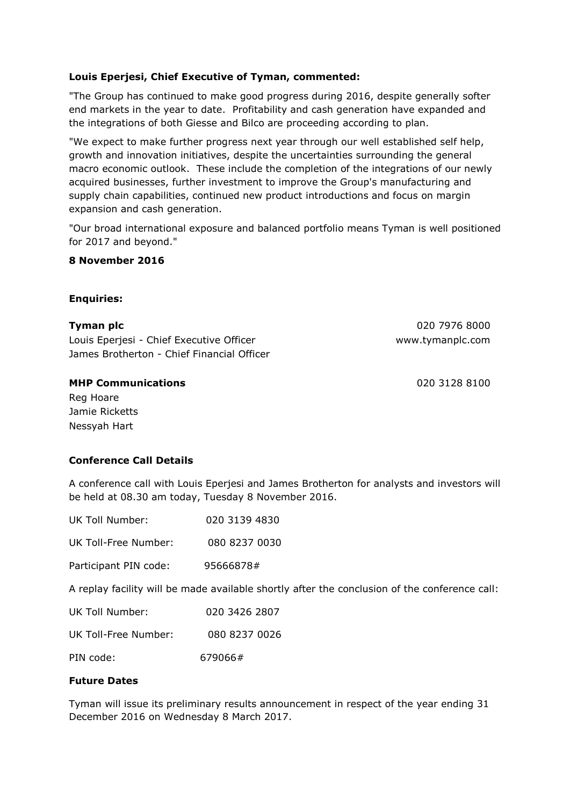# **Louis Eperjesi, Chief Executive of Tyman, commented:**

"The Group has continued to make good progress during 2016, despite generally softer end markets in the year to date. Profitability and cash generation have expanded and the integrations of both Giesse and Bilco are proceeding according to plan.

"We expect to make further progress next year through our well established self help, growth and innovation initiatives, despite the uncertainties surrounding the general macro economic outlook. These include the completion of the integrations of our newly acquired businesses, further investment to improve the Group's manufacturing and supply chain capabilities, continued new product introductions and focus on margin expansion and cash generation.

"Our broad international exposure and balanced portfolio means Tyman is well positioned for 2017 and beyond."

### **8 November 2016**

### **Enquiries:**

| Tyman plc                                  | 020 7976 8000    |
|--------------------------------------------|------------------|
| Louis Eperjesi - Chief Executive Officer   | www.tymanplc.com |
| James Brotherton - Chief Financial Officer |                  |

### **MHP Communications** 020 3128 8100

Reg Hoare Jamie Ricketts Nessyah Hart

# **Conference Call Details**

A conference call with Louis Eperjesi and James Brotherton for analysts and investors will be held at 08.30 am today, Tuesday 8 November 2016.

| UK Toll Number:                                 | 020 3139 4830 |
|-------------------------------------------------|---------------|
| UK Toll-Free Number:                            | 080 8237 0030 |
| Participant PIN code:                           | 95666878#     |
| A replay facility will be made available shortl |               |
|                                                 |               |

ly after the conclusion of the conference call:

| UK Toll Number: | 020 3426 2807 |
|-----------------|---------------|
|                 |               |

UK Toll-Free Number: 080 8237 0026

PIN code: 679066#

# **Future Dates**

Tyman will issue its preliminary results announcement in respect of the year ending 31 December 2016 on Wednesday 8 March 2017.